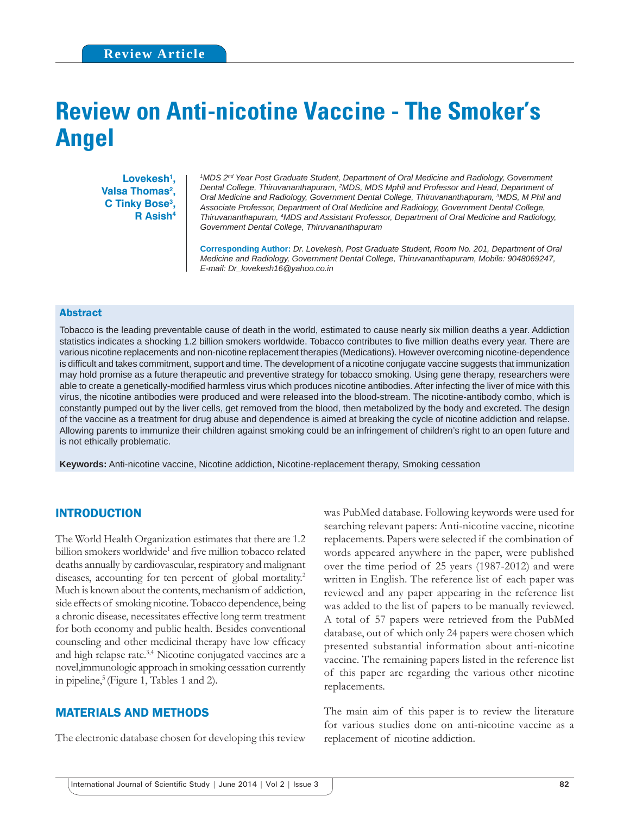# **Review on Anti-nicotine Vaccine - The Smoker's Angel**

Lovekesh<sup>1</sup>, **Valsa Thomas<sup>2</sup>, C Tinky Bose3 , R Asish4**

<sup>1</sup> MDS 2<sup>nd</sup> Year Post Graduate Student, Department of Oral Medicine and Radiology, Government *Dental College, Thiruvananthapuram, 2 MDS, MDS Mphil and Professor and Head, Department of Oral Medicine and Radiology, Government Dental College, Thiruvananthapuram, 3 MDS, M Phil and Associate Professor, Department of Oral Medicine and Radiology, Government Dental College, Thiruvananthapuram, 4 MDS and Assistant Professor, Department of Oral Medicine and Radiology, Government Dental College, Thiruvananthapuram*

**Corresponding Author:** *Dr. Lovekesh, Post Graduate Student, Room No. 201, Department of Oral Medicine and Radiology, Government Dental College, Thiruvananthapuram, Mobile: 9048069247, E-mail: Dr\_lovekesh16@yahoo.co.in*

#### Abstract

Tobacco is the leading preventable cause of death in the world, estimated to cause nearly six million deaths a year. Addiction statistics indicates a shocking 1.2 billion smokers worldwide. Tobacco contributes to five million deaths every year. There are various nicotine replacements and non-nicotine replacement therapies (Medications). However overcoming nicotine-dependence is difficult and takes commitment, support and time. The development of a nicotine conjugate vaccine suggests that immunization may hold promise as a future therapeutic and preventive strategy for tobacco smoking. Using gene therapy, researchers were able to create a genetically-modified harmless virus which produces nicotine antibodies. After infecting the liver of mice with this virus, the nicotine antibodies were produced and were released into the blood-stream. The nicotine-antibody combo, which is constantly pumped out by the liver cells, get removed from the blood, then metabolized by the body and excreted. The design of the vaccine as a treatment for drug abuse and dependence is aimed at breaking the cycle of nicotine addiction and relapse. Allowing parents to immunize their children against smoking could be an infringement of children's right to an open future and is not ethically problematic.

**Keywords:** Anti-nicotine vaccine, Nicotine addiction, Nicotine-replacement therapy, Smoking cessation

### INTRODUCTION

The World Health Organization estimates that there are 1.2 billion smokers worldwide<sup>1</sup> and five million tobacco related deaths annually by cardiovascular, respiratory and malignant diseases, accounting for ten percent of global mortality.<sup>2</sup> Much is known about the contents, mechanism of addiction, side effects of smoking nicotine. Tobacco dependence, being a chronic disease, necessitates effective long term treatment for both economy and public health. Besides conventional counseling and other medicinal therapy have low efficacy and high relapse rate.3,4 Nicotine conjugated vaccines are a novel,immunologic approach in smoking cessation currently in pipeline,<sup>5</sup> (Figure 1, Tables 1 and 2).

# MATERIALS AND METHODS

The electronic database chosen for developing this review

was PubMed database. Following keywords were used for searching relevant papers: Anti-nicotine vaccine, nicotine replacements. Papers were selected if the combination of words appeared anywhere in the paper, were published over the time period of 25 years (1987-2012) and were written in English. The reference list of each paper was reviewed and any paper appearing in the reference list was added to the list of papers to be manually reviewed. A total of 57 papers were retrieved from the PubMed database, out of which only 24 papers were chosen which presented substantial information about anti-nicotine vaccine. The remaining papers listed in the reference list of this paper are regarding the various other nicotine replacements.

The main aim of this paper is to review the literature for various studies done on anti-nicotine vaccine as a replacement of nicotine addiction.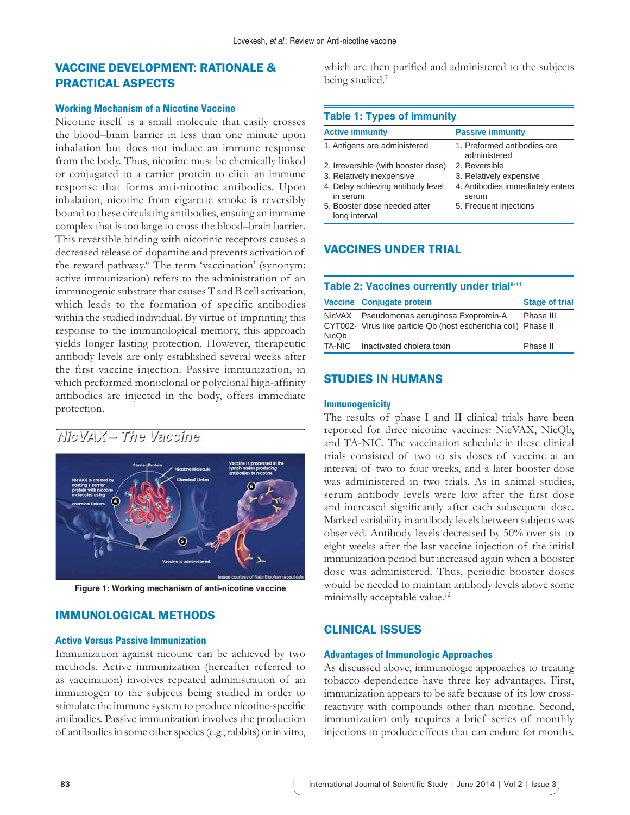# VACCINE DEVELOPMENT: RATIONALE & PRACTICAL ASPECTS

#### **Working Mechanism of a Nicotine Vaccine**

Nicotine itself is a small molecule that easily crosses the blood–brain barrier in less than one minute upon inhalation but does not induce an immune response from the body. Thus, nicotine must be chemically linked or conjugated to a carrier protein to elicit an immune response that forms anti-nicotine antibodies. Upon inhalation, nicotine from cigarette smoke is reversibly bound to these circulating antibodies, ensuing an immune complex that is too large to cross the blood–brain barrier. This reversible binding with nicotinic receptors causes a decreased release of dopamine and prevents activation of the reward pathway.6 The term 'vaccination' (synonym: active immunization) refers to the administration of an immunogenic substrate that causes T and B cell activation, which leads to the formation of specific antibodies within the studied individual. By virtue of imprinting this response to the immunological memory, this approach yields longer lasting protection. However, therapeutic antibody levels are only established several weeks after the first vaccine injection. Passive immunization, in which preformed monoclonal or polyclonal high-affinity antibodies are injected in the body, offers immediate protection.



**Figure 1: Working mechanism of anti-nicotine vaccine**

# IMMUNOLOGICAL METHODS

## **Active Versus Passive Immunization**

Immunization against nicotine can be achieved by two methods. Active immunization (hereafter referred to as vaccination) involves repeated administration of an immunogen to the subjects being studied in order to stimulate the immune system to produce nicotine-specific antibodies. Passive immunization involves the production of antibodies in some other species (e.g., rabbits) or in vitro,

which are then purified and administered to the subjects being studied.<sup>7</sup>

| <b>Table 1: Types of immunity</b>             |                                             |  |
|-----------------------------------------------|---------------------------------------------|--|
| <b>Active immunity</b>                        | <b>Passive immunity</b>                     |  |
| 1. Antigens are administered                  | 1. Preformed antibodies are<br>administered |  |
| 2. Irreversible (with booster dose)           | 2. Reversible                               |  |
| 3. Relatively inexpensive                     | 3. Relatively expensive                     |  |
| 4. Delay achieving antibody level<br>in serum | 4. Antibodies immediately enters<br>serum   |  |
| 5. Booster dose needed after<br>long interval | 5. Frequent injections                      |  |

# VACCINES UNDER TRIAL

| Table 2: Vaccines currently under trial <sup>8-11</sup> |                                                                                                               |                       |
|---------------------------------------------------------|---------------------------------------------------------------------------------------------------------------|-----------------------|
|                                                         | Vaccine Conjugate protein                                                                                     | <b>Stage of trial</b> |
| NicQb                                                   | NicVAX Pseudomonas aeruginosa Exoprotein-A<br>CYT002- Virus like particle Qb (host escherichia coli) Phase II | Phase III             |
|                                                         | TA-NIC Inactivated cholera toxin                                                                              | Phase II              |

## STUDIES IN HUMANS

#### **Immunogenicity**

The results of phase I and II clinical trials have been reported for three nicotine vaccines: NicVAX, NicQb, and TA-NIC. The vaccination schedule in these clinical trials consisted of two to six doses of vaccine at an interval of two to four weeks, and a later booster dose was administered in two trials. As in animal studies, serum antibody levels were low after the first dose and increased significantly after each subsequent dose. Marked variability in antibody levels between subjects was observed. Antibody levels decreased by 50% over six to eight weeks after the last vaccine injection of the initial immunization period but increased again when a booster dose was administered. Thus, periodic booster doses would be needed to maintain antibody levels above some minimally acceptable value.<sup>12</sup>

## CLINICAL ISSUES

#### **Advantages of Immunologic Approaches**

As discussed above, immunologic approaches to treating tobacco dependence have three key advantages. First, immunization appears to be safe because of its low crossreactivity with compounds other than nicotine. Second, immunization only requires a brief series of monthly injections to produce effects that can endure for months.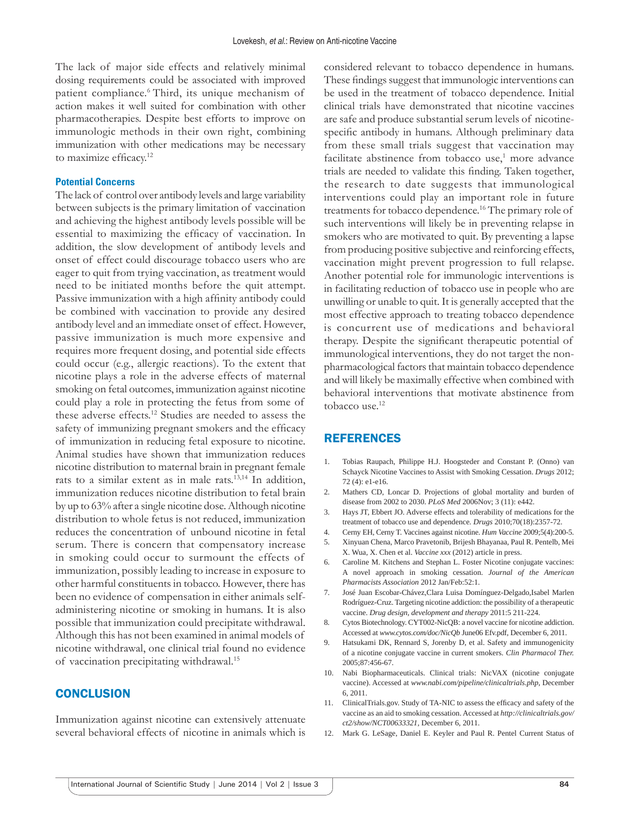The lack of major side effects and relatively minimal dosing requirements could be associated with improved patient compliance.6 Third, its unique mechanism of action makes it well suited for combination with other pharmacotherapies. Despite best efforts to improve on immunologic methods in their own right, combining immunization with other medications may be necessary to maximize efficacy.<sup>12</sup>

#### **Potential Concerns**

The lack of control over antibody levels and large variability between subjects is the primary limitation of vaccination and achieving the highest antibody levels possible will be essential to maximizing the efficacy of vaccination. In addition, the slow development of antibody levels and onset of effect could discourage tobacco users who are eager to quit from trying vaccination, as treatment would need to be initiated months before the quit attempt. Passive immunization with a high affinity antibody could be combined with vaccination to provide any desired antibody level and an immediate onset of effect. However, passive immunization is much more expensive and requires more frequent dosing, and potential side effects could occur (e.g., allergic reactions). To the extent that nicotine plays a role in the adverse effects of maternal smoking on fetal outcomes, immunization against nicotine could play a role in protecting the fetus from some of these adverse effects.12 Studies are needed to assess the safety of immunizing pregnant smokers and the efficacy of immunization in reducing fetal exposure to nicotine. Animal studies have shown that immunization reduces nicotine distribution to maternal brain in pregnant female rats to a similar extent as in male rats.13,14 In addition, immunization reduces nicotine distribution to fetal brain by up to 63% after a single nicotine dose. Although nicotine distribution to whole fetus is not reduced, immunization reduces the concentration of unbound nicotine in fetal serum. There is concern that compensatory increase in smoking could occur to surmount the effects of immunization, possibly leading to increase in exposure to other harmful constituents in tobacco. However, there has been no evidence of compensation in either animals selfadministering nicotine or smoking in humans. It is also possible that immunization could precipitate withdrawal. Although this has not been examined in animal models of nicotine withdrawal, one clinical trial found no evidence of vaccination precipitating withdrawal.15

## **CONCLUSION**

Immunization against nicotine can extensively attenuate several behavioral effects of nicotine in animals which is considered relevant to tobacco dependence in humans. These findings suggest that immunologic interventions can be used in the treatment of tobacco dependence. Initial clinical trials have demonstrated that nicotine vaccines are safe and produce substantial serum levels of nicotinespecific antibody in humans. Although preliminary data from these small trials suggest that vaccination may facilitate abstinence from tobacco use,<sup>1</sup> more advance trials are needed to validate this finding. Taken together, the research to date suggests that immunological interventions could play an important role in future treatments for tobacco dependence.16 The primary role of such interventions will likely be in preventing relapse in smokers who are motivated to quit. By preventing a lapse from producing positive subjective and reinforcing effects, vaccination might prevent progression to full relapse. Another potential role for immunologic interventions is in facilitating reduction of tobacco use in people who are unwilling or unable to quit. It is generally accepted that the most effective approach to treating tobacco dependence is concurrent use of medications and behavioral therapy. Despite the significant therapeutic potential of immunological interventions, they do not target the nonpharmacological factors that maintain tobacco dependence and will likely be maximally effective when combined with behavioral interventions that motivate abstinence from tobacco use.<sup>12</sup>

## REFERENCES

- 1. Tobias Raupach, Philippe H.J. Hoogsteder and Constant P. (Onno) van Schayck Nicotine Vaccines to Assist with Smoking Cessation. *Drugs* 2012; 72 (4): e1-e16.
- 2. Mathers CD, Loncar D. Projections of global mortality and burden of disease from 2002 to 2030. *PLoS Med* 2006Nov; 3 (11): e442.
- 3. Hays JT, Ebbert JO. Adverse effects and tolerability of medications for the treatment of tobacco use and dependence*. Drugs* 2010;70(18):2357-72.
- 4. Cerny EH, Cerny T. Vaccines against nicotine. *Hum Vaccine* 2009;5(4):200-5.
- 5. Xinyuan Chena, Marco Pravetonib, Brijesh Bhayanaa, Paul R. Pentelb, Mei X. Wua, X. Chen et al. *Vaccine xxx* (2012) article in press.
- Caroline M. Kitchens and Stephan L. Foster Nicotine conjugate vaccines: A novel approach in smoking cessation. *Journal of the American Pharmacists Association* 2012 Jan/Feb:52:1.
- 7. José Juan Escobar-Chávez,Clara Luisa Domínguez-Delgado,Isabel Marlen Rodríguez-Cruz. Targeting nicotine addiction: the possibility of a therapeutic vaccine. *Drug design, development and therapy* 2011:5 211-224.
- 8. Cytos Biotechnology. CYT002-NicQB: a novel vaccine for nicotine addiction. Accessed at *www.cytos.com/doc/NicQb* June06 Efv.pdf, December 6, 2011.
- 9. Hatsukami DK, Rennard S, Jorenby D, et al. Safety and immunogenicity of a nicotine conjugate vaccine in current smokers. *Clin Pharmacol Ther.* 2005;87:456-67.
- 10. Nabi Biopharmaceuticals. Clinical trials: NicVAX (nicotine conjugate vaccine). Accessed at *www.nabi.com/pipeline/clinicaltrials.php*, December 6, 2011.
- 11. ClinicalTrials.gov. Study of TA-NIC to assess the efficacy and safety of the vaccine as an aid to smoking cessation. Accessed at *http://clinicaltrials.gov/ ct2/show/NCT00633321,* December 6, 2011.
- 12. Mark G. LeSage, Daniel E. Keyler and Paul R. Pentel Current Status of